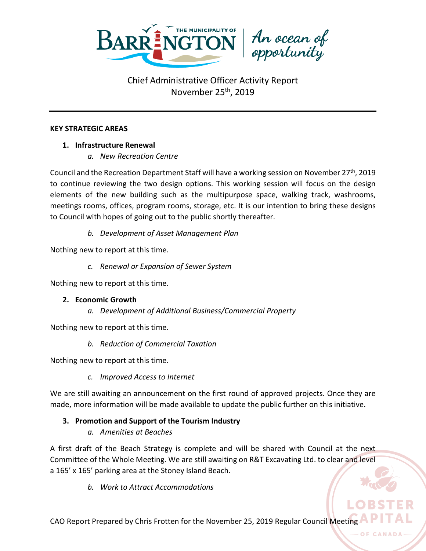

#### **KEY STRATEGIC AREAS**

## **1. Infrastructure Renewal**

*a. New Recreation Centre*

Council and the Recreation Department Staff will have a working session on November  $27<sup>th</sup>$ , 2019 to continue reviewing the two design options. This working session will focus on the design elements of the new building such as the multipurpose space, walking track, washrooms, meetings rooms, offices, program rooms, storage, etc. It is our intention to bring these designs to Council with hopes of going out to the public shortly thereafter.

*b. Development of Asset Management Plan*

Nothing new to report at this time.

*c. Renewal or Expansion of Sewer System*

Nothing new to report at this time.

## **2. Economic Growth**

*a. Development of Additional Business/Commercial Property*

Nothing new to report at this time.

*b. Reduction of Commercial Taxation*

Nothing new to report at this time.

*c. Improved Access to Internet*

We are still awaiting an announcement on the first round of approved projects. Once they are made, more information will be made available to update the public further on this initiative.

# **3. Promotion and Support of the Tourism Industry**

*a. Amenities at Beaches*

A first draft of the Beach Strategy is complete and will be shared with Council at the next Committee of the Whole Meeting. We are still awaiting on R&T Excavating Ltd. to clear and level a 165' x 165' parking area at the Stoney Island Beach.

*b. Work to Attract Accommodations*

CAO Report Prepared by Chris Frotten for the November 25, 2019 Regular Council Meeting

OF CANAD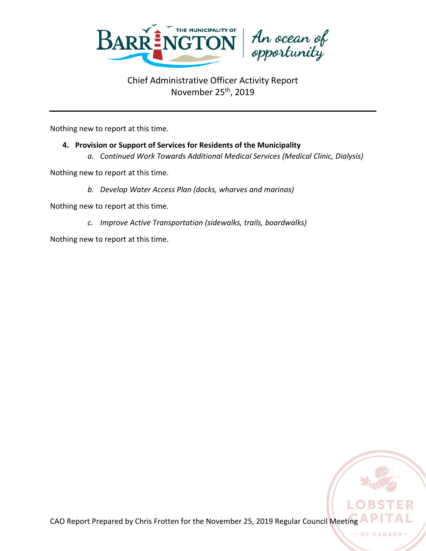

Nothing new to report at this time.

# **4. Provision or Support of Services for Residents of the Municipality**

*a. Continued Work Towards Additional Medical Services (Medical Clinic, Dialysis)*

Nothing new to report at this time.

*b. Develop Water Access Plan (docks, wharves and marinas)*

Nothing new to report at this time.

*c. Improve Active Transportation (sidewalks, trails, boardwalks)*

Nothing new to report at this time.

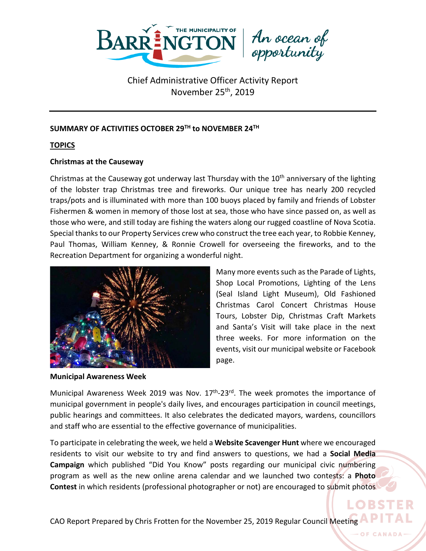

# An ocean of<br>opportunity

# Chief Administrative Officer Activity Report November 25<sup>th</sup>, 2019

## **SUMMARY OF ACTIVITIES OCTOBER 29TH to NOVEMBER 24TH**

## **TOPICS**

## **Christmas at the Causeway**

Christmas at the Causeway got underway last Thursday with the 10<sup>th</sup> anniversary of the lighting of the lobster trap Christmas tree and fireworks. Our unique tree has nearly 200 recycled traps/pots and is illuminated with more than 100 buoys placed by family and friends of Lobster Fishermen & women in memory of those lost at sea, those who have since passed on, as well as those who were, and still today are fishing the waters along our rugged coastline of Nova Scotia. Special thanks to our Property Services crew who construct the tree each year, to Robbie Kenney, Paul Thomas, William Kenney, & Ronnie Crowell for overseeing the fireworks, and to the Recreation Department for organizing a wonderful night.



**Municipal Awareness Week**

Many more events such as the Parade of Lights, Shop Local Promotions, Lighting of the Lens (Seal Island Light Museum), Old Fashioned Christmas Carol Concert Christmas House Tours, Lobster Dip, Christmas Craft Markets and Santa's Visit will take place in the next three weeks. For more information on the events, visit our municipal website or Facebook page.

Municipal Awareness Week 2019 was Nov.  $17<sup>th</sup>$ -23<sup>rd</sup>. The week promotes the importance of municipal government in people's daily lives, and encourages participation in council meetings, public hearings and committees. It also celebrates the dedicated mayors, wardens, councillors and staff who are essential to the effective governance of municipalities.

To participate in celebrating the week, we held a **Website Scavenger Hunt** where we encouraged residents to visit our website to try and find answers to questions, we had a **Social Media Campaign** which published "Did You Know" posts regarding our municipal civic numbering program as well as the new online arena calendar and we launched two contests: a **Photo Contest** in which residents (professional photographer or not) are encouraged to submit photos

LOBST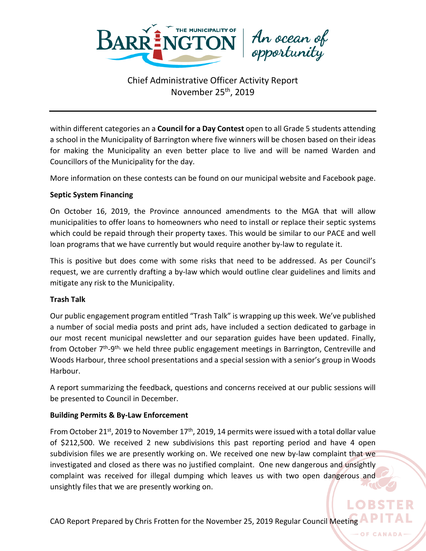

within different categories an a **Council for a Day Contest** open to all Grade 5 students attending a school in the Municipality of Barrington where five winners will be chosen based on their ideas for making the Municipality an even better place to live and will be named Warden and Councillors of the Municipality for the day.

More information on these contests can be found on our municipal website and Facebook page.

#### **Septic System Financing**

On October 16, 2019, the Province announced amendments to the MGA that will allow municipalities to offer loans to homeowners who need to install or replace their septic systems which could be repaid through their property taxes. This would be similar to our PACE and well loan programs that we have currently but would require another by-law to regulate it.

This is positive but does come with some risks that need to be addressed. As per Council's request, we are currently drafting a by-law which would outline clear guidelines and limits and mitigate any risk to the Municipality.

#### **Trash Talk**

Our public engagement program entitled "Trash Talk" is wrapping up this week. We've published a number of social media posts and print ads, have included a section dedicated to garbage in our most recent municipal newsletter and our separation guides have been updated. Finally, from October  $7<sup>th</sup> - 9<sup>th</sup>$ , we held three public engagement meetings in Barrington, Centreville and Woods Harbour, three school presentations and a special session with a senior's group in Woods Harbour.

A report summarizing the feedback, questions and concerns received at our public sessions will be presented to Council in December.

## **Building Permits & By-Law Enforcement**

From October 21<sup>st</sup>, 2019 to November 17<sup>th</sup>, 2019, 14 permits were issued with a total dollar value of \$212,500. We received 2 new subdivisions this past reporting period and have 4 open subdivision files we are presently working on. We received one new by-law complaint that we investigated and closed as there was no justified complaint. One new dangerous and unsightly complaint was received for illegal dumping which leaves us with two open dangerous and unsightly files that we are presently working on.

LORST

CAO Report Prepared by Chris Frotten for the November 25, 2019 Regular Council Meeting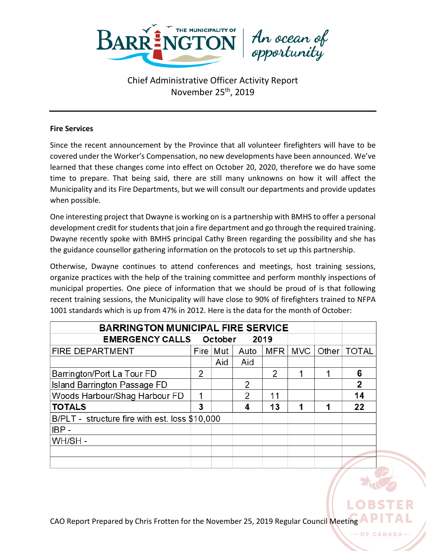

An ocean of<br>opportunity

#### **Fire Services**

Since the recent announcement by the Province that all volunteer firefighters will have to be covered under the Worker's Compensation, no new developments have been announced. We've learned that these changes come into effect on October 20, 2020, therefore we do have some time to prepare. That being said, there are still many unknowns on how it will affect the Municipality and its Fire Departments, but we will consult our departments and provide updates when possible.

One interesting project that Dwayne is working on is a partnership with BMHS to offer a personal development credit for students that join a fire department and go through the required training. Dwayne recently spoke with BMHS principal Cathy Breen regarding the possibility and she has the guidance counsellor gathering information on the protocols to set up this partnership.

Otherwise, Dwayne continues to attend conferences and meetings, host training sessions, organize practices with the help of the training committee and perform monthly inspections of municipal properties. One piece of information that we should be proud of is that following recent training sessions, the Municipality will have close to 90% of firefighters trained to NFPA 1001 standards which is up from 47% in 2012. Here is the data for the month of October:

| <b>BARRINGTON MUNICIPAL FIRE SERVICE</b>       |   |            |               |     |     |       |              |
|------------------------------------------------|---|------------|---------------|-----|-----|-------|--------------|
| <b>EMERGENCY CALLS October</b><br>2019         |   |            |               |     |     |       |              |
| <b>FIRE DEPARTMENT</b>                         |   | Fire   Mut | Auto          | MFR | MVC | Other | <b>TOTAL</b> |
|                                                |   | Aid        | Aid           |     |     |       |              |
| Barrington/Port La Tour FD                     | 2 |            |               | 2   |     |       | 6            |
| Island Barrington Passage FD                   |   |            | 2             |     |     |       | 2            |
| Woods Harbour/Shag Harbour FD                  | 1 |            | $\mathcal{P}$ | 11  |     |       | 14           |
| <b>TOTALS</b>                                  | 3 |            | 4             | 13  | 1   |       | 22           |
| B/PLT - structure fire with est. loss \$10,000 |   |            |               |     |     |       |              |
| $IBP -$                                        |   |            |               |     |     |       |              |
| WH/SH-                                         |   |            |               |     |     |       |              |
|                                                |   |            |               |     |     |       |              |
|                                                |   |            |               |     |     |       |              |

CAO Report Prepared by Chris Frotten for the November 25, 2019 Regular Council Meeting